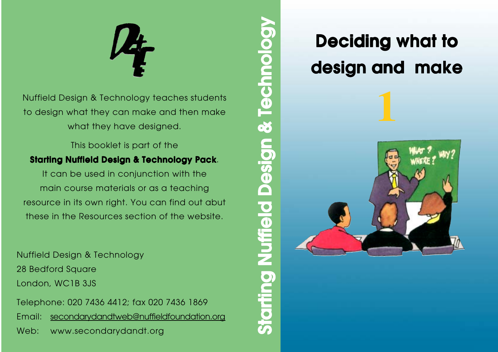

Nuffield Design & Technology teaches students to design what they can make and then make what they have designed.

This booklet is part of the **Starting Nuffield Design & Technology Pack**. It can be used in conjunction with the main course materials or as a teaching resource in its own right. You can find out abut these in the Resources section of the website.

Nuffield Design & Technology 28 Bedford Square London, WC1B 3JS

Telephone: 020 7436 4412; fax 020 7436 1869 Email: secondarydandtweb@nuffieldfoundation.org Web: www.secondarydandt.org

# **Deciding what to Deciding what to design and make design and make**



**Starting Nuffield Design & Technology Starting Nuffield Design & Technology**

**Starting Nuffield Design** 

& Technology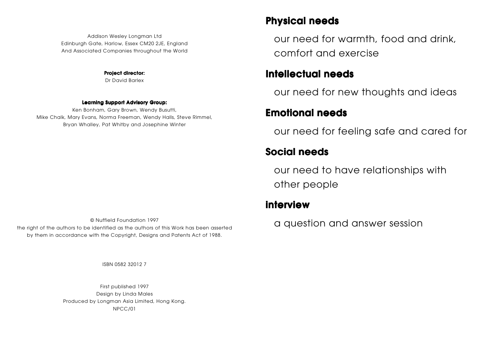Addison Wesley Longman Ltd Edinburgh Gate, Harlow, Essex CM20 2JE, England And Associated Companies throughout the World

**Project director:**

Dr David Barlex

#### **Learning Support Advisory Group:**

Ken Bonham, Gary Brown, Wendy Busutti, Mike Chalk, Mary Evans, Norma Freeman, Wendy Halls, Steve Rimmel, Bryan Whalley, Pat Whitby and Josephine Winter

© Nuffield Foundation 1997 the right of the authors to be identified as the authors of this Work has been asserted by them in accordance with the Copyright, Designs and Patents Act of 1988.

ISBN 0582 32012 7

First published 1997 Design by Linda Males Produced by Longman Asia Limited, Hong Kong. NPCC/01

#### **Physical needs Physical needs**

our need for warmth, food and drink, comfort and exercise

#### **Intellectual needs Intellectual**

our need for new thoughts and ideas

#### **Emotional needs Emotional needs**

our need for feeling safe and cared for

#### **Social needs Social**

our need to have relationships with other people

#### **interview**

a question and answer session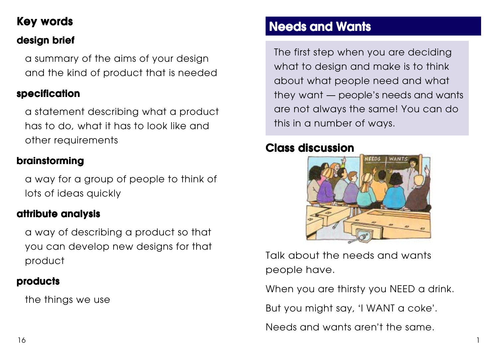### **Key words Key**

### **design brief design brief**

a summary of the aims of your design and the kind of product that is needed

#### **specification**

a statement describing what a product has to do, what it has to look like and other requirements

#### **brainstorming**

a way for a group of people to think of lots of ideas quickly

#### **attribute analysis attribute**

a way of describing a product so that you can develop new designs for that product

#### **products products**

the things we use

### **Needs and Wants**

The first step when you are deciding what to design and make is to think about what people need and what they want — people 's needs and wants are not always the same! You can do this in a number of ways.

### **Class discussion Class**



Talk about the needs and wants people have.

When you are thirsty you NEED a drink.

But you might say, 'I WANT a coke'.

Needs and wants aren't the same.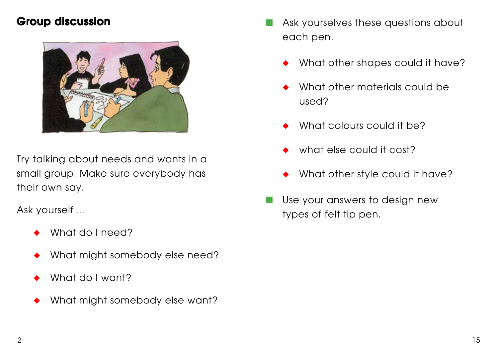### **Group discussion**



Try talking about needs and wants in a small group. Make sure everybody has their own say.

Ask yourself ...

- What do I need?
- What might somebody else need?
- What do I want?
- What might somebody else want?
- Ask yourselves these questions about each pen.
	- What other shapes could it have?
	- What other materials could be used?
	- What colours could it be?
	- what else could it cost?
	- What other style could it have?
- Use your answers to design new types of felt tip pen.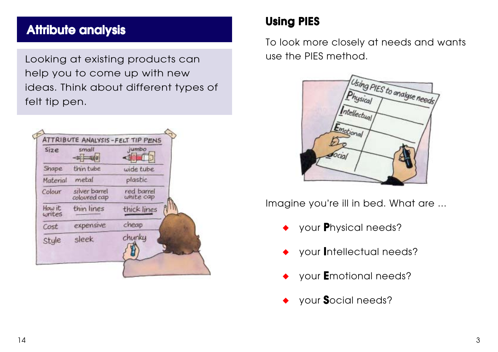### **Attribute analysis**

Looking at existing products can help you to come up with new ideas. Think about different types of felt tip pen.



### **Using PIES Using PIES**

To look more closely at needs and wants use the PIES method.



Imagine you're ill in bed. What are ...

- ◆ your **P**hysical needs?
- your **Intellectual needs?**
- ◆ your **E**motional needs?
- ◆ your **S**ocial needs?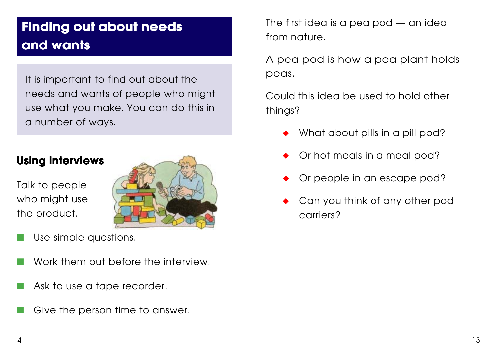## **Finding out about needs Finding out about needs and wants and wants**

It is important to find out about the needs and wants of people who might use what you make. You can do this in a number of ways.

### **Using interviews Using interviews**

Talk to people who might use the product.



- Use simple questions.
- Work them out before the interview.
- Ask to use a tape recorder.
- Give the person time to answer.

The first idea is a pea pod — an idea from nature.

A pea pod is how a pea plant holds peas.

Could this idea be used to hold other things?

- What about pills in a pill pod?
- Or hot meals in a meal pod?
- Or people in an escape pod?
- Can you think of any other pod carriers?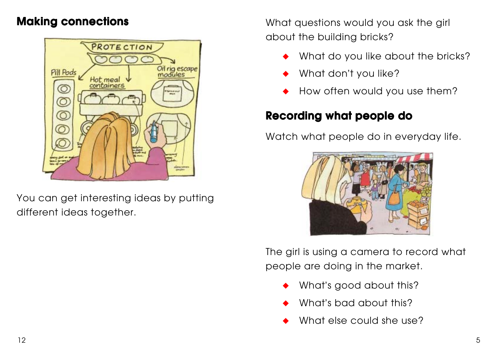### **Making connections Making connections**



You can get interesting ideas by putting different ideas together.

What questions would you ask the girl about the building bricks?

- What do you like about the bricks?
- What don't you like?
- How often would you use them?

### **Recording what people do**

Watch what people do in everyday life.



The girl is using a camera to record what people are doing in the market.

- What's good about this?
- What's bad about this?
- What else could she use?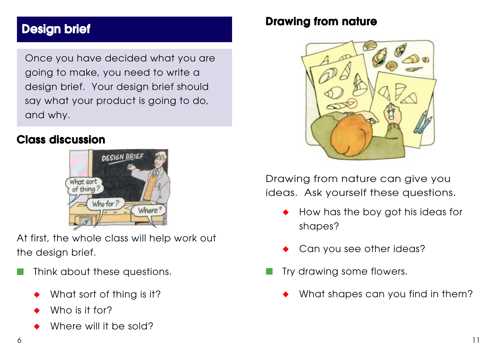### **Design brief Design brief brief**

Once you have decided what you are going to make, you need to write a design brief. Your design brief should say what your product is going to do, and why.

#### **Class discussion**



At first, the whole class will help work out the design brief.

- Think about these questions.
	- What sort of thing is it?
	- Who is it for?
	- Where will it be sold?

#### **Drawing from nature**



Drawing from nature can give you ideas. Ask yourself these questions.

- How has the boy got his ideas for shapes?
- Can you see other ideas?
- Try drawing some flowers.
	- What shapes can you find in them?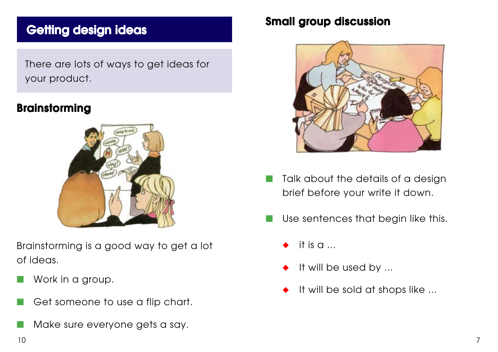### **Getting design ideas design ideas**

There are lots of ways to get ideas for your product.

#### **Brainstorming**



Brainstorming is a good way to get a lot of ideas.

- Work in a group.
- Get someone to use a flip chart.
- Make sure everyone gets a say.

### **Small group discussion Small discussion**



- Talk about the details of a design brief before your write it down.
- Use sentences that begin like this.
	- it is  $a \dots$
	- It will be used by ...
	- It will be sold at shops like ...